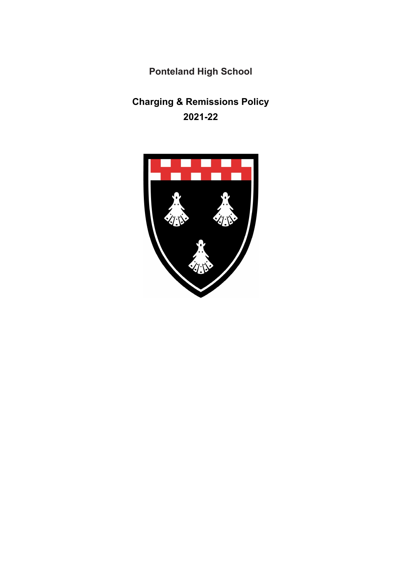**Ponteland High School**

# **Charging & Remissions Policy 2021-22**

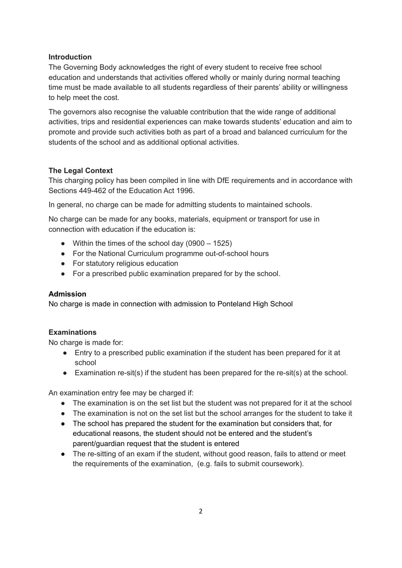#### **Introduction**

The Governing Body acknowledges the right of every student to receive free school education and understands that activities offered wholly or mainly during normal teaching time must be made available to all students regardless of their parents' ability or willingness to help meet the cost.

The governors also recognise the valuable contribution that the wide range of additional activities, trips and residential experiences can make towards students' education and aim to promote and provide such activities both as part of a broad and balanced curriculum for the students of the school and as additional optional activities.

## **The Legal Context**

This charging policy has been compiled in line with DfE requirements and in accordance with Sections 449-462 of the Education Act 1996.

In general, no charge can be made for admitting students to maintained schools.

No charge can be made for any books, materials, equipment or transport for use in connection with education if the education is:

- Within the times of the school day  $(0900 1525)$
- For the National Curriculum programme out-of-school hours
- For statutory religious education
- For a prescribed public examination prepared for by the school.

#### **Admission**

No charge is made in connection with admission to Ponteland High School

# **Examinations**

No charge is made for:

- Entry to a prescribed public examination if the student has been prepared for it at school
- Examination re-sit(s) if the student has been prepared for the re-sit(s) at the school.

An examination entry fee may be charged if:

- The examination is on the set list but the student was not prepared for it at the school
- The examination is not on the set list but the school arranges for the student to take it
- The school has prepared the student for the examination but considers that, for educational reasons, the student should not be entered and the student's parent/guardian request that the student is entered
- The re-sitting of an exam if the student, without good reason, fails to attend or meet the requirements of the examination, (e.g. fails to submit coursework).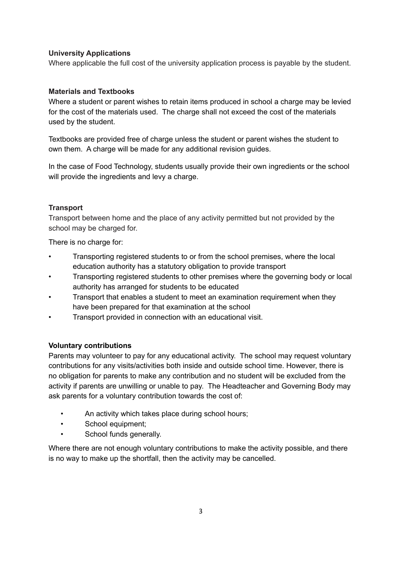#### **University Applications**

Where applicable the full cost of the university application process is payable by the student.

## **Materials and Textbooks**

Where a student or parent wishes to retain items produced in school a charge may be levied for the cost of the materials used. The charge shall not exceed the cost of the materials used by the student.

Textbooks are provided free of charge unless the student or parent wishes the student to own them. A charge will be made for any additional revision guides.

In the case of Food Technology, students usually provide their own ingredients or the school will provide the ingredients and levy a charge.

## **Transport**

Transport between home and the place of any activity permitted but not provided by the school may be charged for.

There is no charge for:

- Transporting registered students to or from the school premises, where the local education authority has a statutory obligation to provide transport
- Transporting registered students to other premises where the governing body or local authority has arranged for students to be educated
- Transport that enables a student to meet an examination requirement when they have been prepared for that examination at the school
- Transport provided in connection with an educational visit.

#### **Voluntary contributions**

Parents may volunteer to pay for any educational activity. The school may request voluntary contributions for any visits/activities both inside and outside school time. However, there is no obligation for parents to make any contribution and no student will be excluded from the activity if parents are unwilling or unable to pay. The Headteacher and Governing Body may ask parents for a voluntary contribution towards the cost of:

- An activity which takes place during school hours;
- School equipment:
- School funds generally.

Where there are not enough voluntary contributions to make the activity possible, and there is no way to make up the shortfall, then the activity may be cancelled.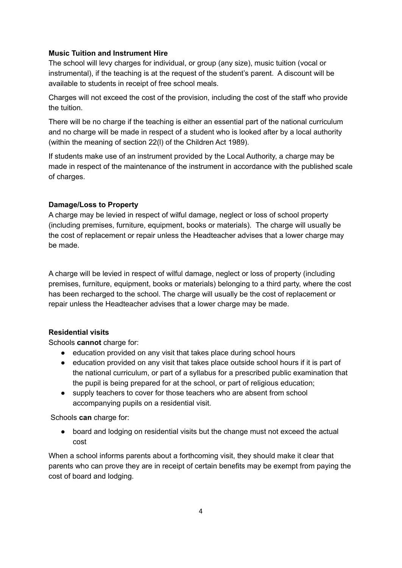#### **Music Tuition and Instrument Hire**

The school will levy charges for individual, or group (any size), music tuition (vocal or instrumental), if the teaching is at the request of the student's parent. A discount will be available to students in receipt of free school meals.

Charges will not exceed the cost of the provision, including the cost of the staff who provide the tuition.

There will be no charge if the teaching is either an essential part of the national curriculum and no charge will be made in respect of a student who is looked after by a local authority (within the meaning of section 22(l) of the Children Act 1989).

If students make use of an instrument provided by the Local Authority, a charge may be made in respect of the maintenance of the instrument in accordance with the published scale of charges.

#### **Damage/Loss to Property**

A charge may be levied in respect of wilful damage, neglect or loss of school property (including premises, furniture, equipment, books or materials). The charge will usually be the cost of replacement or repair unless the Headteacher advises that a lower charge may be made.

A charge will be levied in respect of wilful damage, neglect or loss of property (including premises, furniture, equipment, books or materials) belonging to a third party, where the cost has been recharged to the school. The charge will usually be the cost of replacement or repair unless the Headteacher advises that a lower charge may be made.

#### **Residential visits**

Schools **cannot** charge for:

- education provided on any visit that takes place during school hours
- education provided on any visit that takes place outside school hours if it is part of the national curriculum, or part of a syllabus for a prescribed public examination that the pupil is being prepared for at the school, or part of religious education;
- supply teachers to cover for those teachers who are absent from school accompanying pupils on a residential visit.

Schools **can** charge for:

● board and lodging on residential visits but the change must not exceed the actual cost

When a school informs parents about a forthcoming visit, they should make it clear that parents who can prove they are in receipt of certain benefits may be exempt from paying the cost of board and lodging.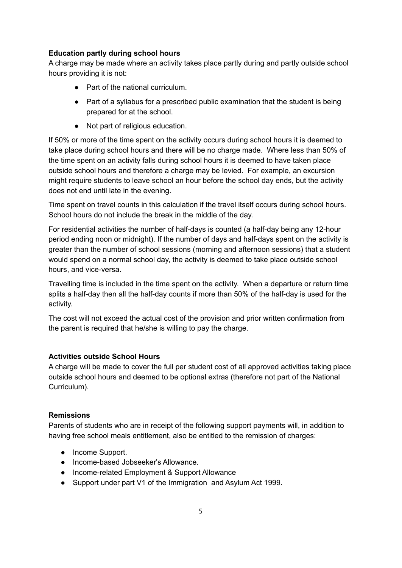### **Education partly during school hours**

A charge may be made where an activity takes place partly during and partly outside school hours providing it is not:

- Part of the national curriculum.
- Part of a syllabus for a prescribed public examination that the student is being prepared for at the school.
- Not part of religious education.

If 50% or more of the time spent on the activity occurs during school hours it is deemed to take place during school hours and there will be no charge made. Where less than 50% of the time spent on an activity falls during school hours it is deemed to have taken place outside school hours and therefore a charge may be levied. For example, an excursion might require students to leave school an hour before the school day ends, but the activity does not end until late in the evening.

Time spent on travel counts in this calculation if the travel itself occurs during school hours. School hours do not include the break in the middle of the day.

For residential activities the number of half-days is counted (a half-day being any 12-hour period ending noon or midnight). If the number of days and half-days spent on the activity is greater than the number of school sessions (morning and afternoon sessions) that a student would spend on a normal school day, the activity is deemed to take place outside school hours, and vice-versa.

Travelling time is included in the time spent on the activity. When a departure or return time splits a half-day then all the half-day counts if more than 50% of the half-day is used for the activity.

The cost will not exceed the actual cost of the provision and prior written confirmation from the parent is required that he/she is willing to pay the charge.

# **Activities outside School Hours**

A charge will be made to cover the full per student cost of all approved activities taking place outside school hours and deemed to be optional extras (therefore not part of the National Curriculum).

# **Remissions**

Parents of students who are in receipt of the following support payments will, in addition to having free school meals entitlement, also be entitled to the remission of charges:

- Income Support.
- Income-based Jobseeker's Allowance.
- Income-related Employment & Support Allowance
- Support under part V1 of the Immigration and Asylum Act 1999.